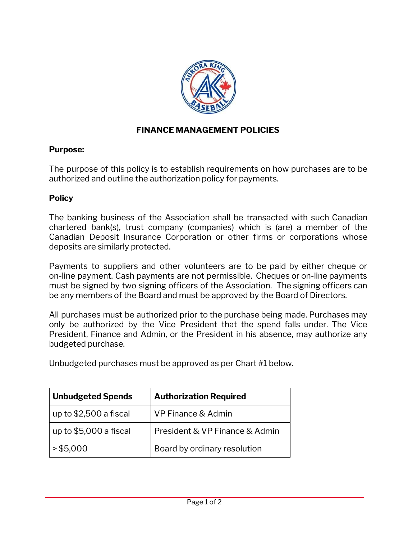

## **FINANCE MANAGEMENT POLICIES**

## **Purpose:**

The purpose of this policy is to establish requirements on how purchases are to be authorized and outline the authorization policy for payments.

## **Policy**

The banking business of the Association shall be transacted with such Canadian chartered bank(s), trust company (companies) which is (are) a member of the Canadian Deposit Insurance Corporation or other firms or corporations whose deposits are similarly protected.

Payments to suppliers and other volunteers are to be paid by either cheque or on-line payment. Cash payments are not permissible. Cheques or on-line payments must be signed by two signing officers of the Association. The signing officers can be any members of the Board and must be approved by the Board of Directors.

All purchases must be authorized prior to the purchase being made. Purchases may only be authorized by the Vice President that the spend falls under. The Vice President, Finance and Admin, or the President in his absence, may authorize any budgeted purchase.

Unbudgeted purchases must be approved as per Chart #1 below.

| <b>Unbudgeted Spends</b> | <b>Authorization Required</b>  |
|--------------------------|--------------------------------|
| up to \$2,500 a fiscal   | VP Finance & Admin             |
| up to \$5,000 a fiscal   | President & VP Finance & Admin |
| > \$5,000                | Board by ordinary resolution   |